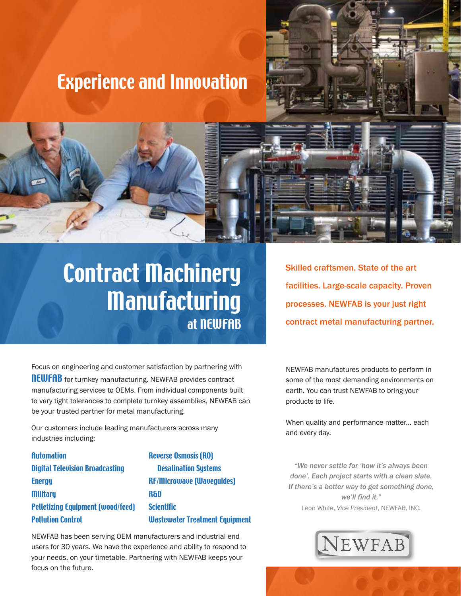### Experience and Innovation





## Contract Machinery Manufacturing at NEWFAB

Skilled craftsmen. State of the art facilities. Large-scale capacity. Proven processes. NEWFAB is your just right contract metal manufacturing partner.

Focus on engineering and customer satisfaction by partnering with **NEWFAB** for turnkey manufacturing. NEWFAB provides contract manufacturing services to OEMs. From individual components built to very tight tolerances to complete turnkey assemblies, NEWFAB can be your trusted partner for metal manufacturing.

Our customers include leading manufacturers across many industries including:

**Automation** Digital Television Broadcasting **Energy Military** Pelletizing Equipment (wood/feed) Pollution Control

Reverse Osmosis (RO) Desalination Systems RF/Microwave (Waveguides) R&D **Scientific** Wastewater Treatment Equipment

NEWFAB has been serving OEM manufacturers and industrial end users for 30 years. We have the experience and ability to respond to your needs, on your timetable. Partnering with NEWFAB keeps your focus on the future.

NEWFAB manufactures products to perform in some of the most demanding environments on earth. You can trust NEWFAB to bring your products to life.

When quality and performance matter... each and every day.

*"We never settle for 'how it's always been done'. Each project starts with a clean slate. If there's a better way to get something done, we'll find it."*  Leon White, *Vice President*, NEWFAB, INC.